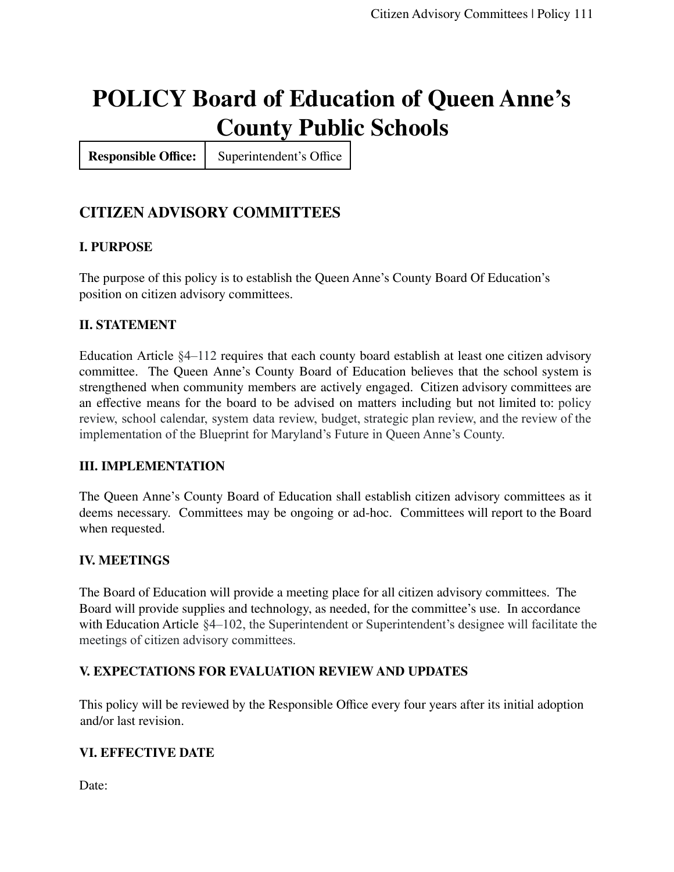# **POLICY Board of Education of Queen Anne's County Public Schools**

**Responsible Office:** Superintendent's Office

# **CITIZEN ADVISORY COMMITTEES**

### **I. PURPOSE**

The purpose of this policy is to establish the Queen Anne's County Board Of Education's position on citizen advisory committees.

#### **II. STATEMENT**

Education Article §4–112 requires that each county board establish at least one citizen advisory committee. The Queen Anne's County Board of Education believes that the school system is strengthened when community members are actively engaged. Citizen advisory committees are an effective means for the board to be advised on matters including but not limited to: policy review, school calendar, system data review, budget, strategic plan review, and the review of the implementation of the Blueprint for Maryland's Future in Queen Anne's County.

#### **III. IMPLEMENTATION**

The Queen Anne's County Board of Education shall establish citizen advisory committees as it deems necessary. Committees may be ongoing or ad-hoc. Committees will report to the Board when requested.

#### **IV. MEETINGS**

The Board of Education will provide a meeting place for all citizen advisory committees. The Board will provide supplies and technology, as needed, for the committee's use. In accordance with Education Article  $$4-102$ , the Superintendent or Superintendent's designee will facilitate the meetings of citizen advisory committees.

#### **V. EXPECTATIONS FOR EVALUATION REVIEW AND UPDATES**

This policy will be reviewed by the Responsible Office every four years after its initial adoption and/or last revision.

#### **VI. EFFECTIVE DATE**

Date: